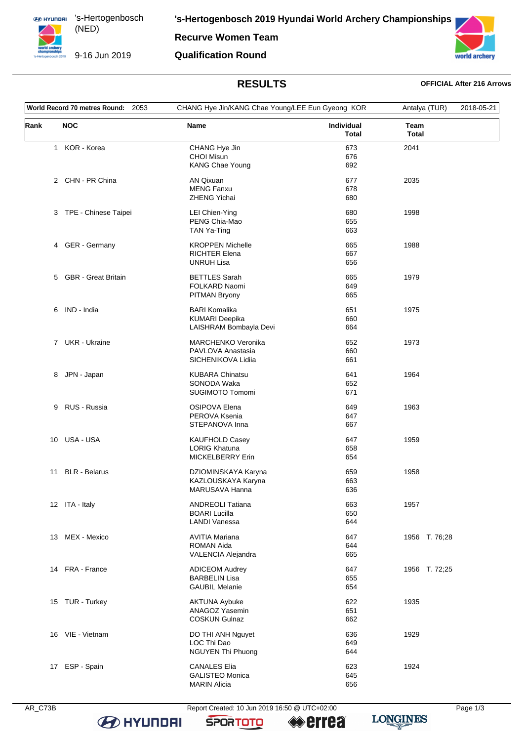**ED HYUNDRI** 's-Hertogenbosch (NED) 

**Recurve Women Team**

9-16 Jun 2019

**Qualification Round**



# **RESULTS OFFICIAL After 216 Arrows**

| World Record 70 metres Round: 2053 |                        | CHANG Hye Jin/KANG Chae Young/LEE Eun Gyeong KOR                        |                            | Antalya (TUR)               | 2018-05-21 |
|------------------------------------|------------------------|-------------------------------------------------------------------------|----------------------------|-----------------------------|------------|
| Rank                               | <b>NOC</b>             | Name                                                                    | Individual<br><b>Total</b> | <b>Team</b><br><b>Total</b> |            |
|                                    | 1 KOR - Korea          | CHANG Hye Jin<br><b>CHOI Misun</b><br>KANG Chae Young                   | 673<br>676<br>692          | 2041                        |            |
|                                    | 2 CHN - PR China       | <b>AN Qixuan</b><br><b>MENG Fanxu</b><br><b>ZHENG Yichai</b>            | 677<br>678<br>680          | 2035                        |            |
|                                    | 3 TPE - Chinese Taipei | LEI Chien-Ying<br>PENG Chia-Mao<br>TAN Ya-Ting                          | 680<br>655<br>663          | 1998                        |            |
|                                    | 4 GER - Germany        | <b>KROPPEN Michelle</b><br><b>RICHTER Elena</b><br><b>UNRUH Lisa</b>    | 665<br>667<br>656          | 1988                        |            |
|                                    | 5 GBR - Great Britain  | <b>BETTLES</b> Sarah<br>FOLKARD Naomi<br><b>PITMAN Bryony</b>           | 665<br>649<br>665          | 1979                        |            |
|                                    | 6 IND - India          | <b>BARI Komalika</b><br><b>KUMARI Deepika</b><br>LAISHRAM Bombayla Devi | 651<br>660<br>664          | 1975                        |            |
|                                    | 7 UKR - Ukraine        | MARCHENKO Veronika<br>PAVLOVA Anastasia<br>SICHENIKOVA Lidiia           | 652<br>660<br>661          | 1973                        |            |
| 8                                  | JPN - Japan            | <b>KUBARA Chinatsu</b><br>SONODA Waka<br>SUGIMOTO Tomomi                | 641<br>652<br>671          | 1964                        |            |
| 9                                  | RUS - Russia           | <b>OSIPOVA Elena</b><br>PEROVA Ksenia<br>STEPANOVA Inna                 | 649<br>647<br>667          | 1963                        |            |
| 10                                 | USA - USA              | <b>KAUFHOLD Casey</b><br><b>LORIG Khatuna</b><br>MICKELBERRY Erin       | 647<br>658<br>654          | 1959                        |            |
| 11                                 | <b>BLR</b> - Belarus   | DZIOMINSKAYA Karyna<br>KAZLOUSKAYA Karyna<br>MARUSAVA Hanna             | 659<br>663<br>636          | 1958                        |            |
|                                    | 12 ITA - Italy         | <b>ANDREOLI Tatiana</b><br><b>BOARI Lucilla</b><br><b>LANDI Vanessa</b> | 663<br>650<br>644          | 1957                        |            |
|                                    | 13 MEX - Mexico        | <b>AVITIA Mariana</b><br>ROMAN Aida<br>VALENCIA Alejandra               | 647<br>644<br>665          | 1956 T. 76;28               |            |
|                                    | 14 FRA - France        | <b>ADICEOM Audrey</b><br><b>BARBELIN Lisa</b><br><b>GAUBIL Melanie</b>  | 647<br>655<br>654          | 1956 T. 72;25               |            |
|                                    | 15 TUR - Turkey        | <b>AKTUNA Aybuke</b><br><b>ANAGOZ Yasemin</b><br><b>COSKUN Gulnaz</b>   | 622<br>651<br>662          | 1935                        |            |
|                                    | 16 VIE - Vietnam       | DO THI ANH Nguyet<br>LOC Thi Dao<br>NGUYEN Thi Phuong                   | 636<br>649<br>644          | 1929                        |            |
| 17                                 | ESP - Spain            | <b>CANALES Elia</b><br><b>GALISTEO Monica</b><br><b>MARIN Alicia</b>    | 623<br>645<br>656          | 1924                        |            |

AR\_C73B Report Created: 10 Jun 2019 16:50 @ UTC+02:00 Page 1/3

<sup>●</sup>errea

**LONGINES** 

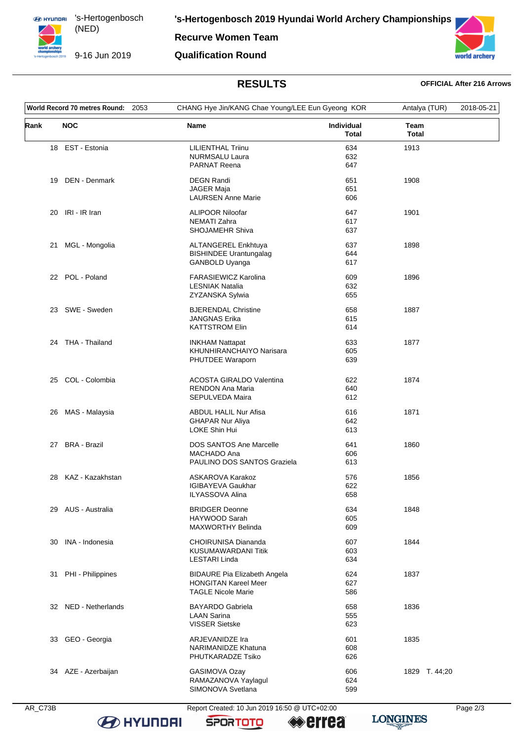**ED HYUNDRI** 's-Hertogenbosch (NED)

9-16 Jun 2019

**Recurve Women Team** 

**Qualification Round** 



# **RESULTS**

### **OFFICIAL After 216 Arrows**

| World Record 70 metres Round:<br>2053 |                      | CHANG Hye Jin/KANG Chae Young/LEE Eun Gyeong KOR                                                |                                   | Antalya (TUR) | 2018-05-21 |
|---------------------------------------|----------------------|-------------------------------------------------------------------------------------------------|-----------------------------------|---------------|------------|
| Rank                                  | <b>NOC</b>           | <b>Name</b>                                                                                     | <b>Individual</b><br><b>Total</b> | Team<br>Total |            |
|                                       | 18 EST - Estonia     | <b>LILIENTHAL Triinu</b><br><b>NURMSALU Laura</b><br><b>PARNAT Reena</b>                        | 634<br>632<br>647                 | 1913          |            |
| 19                                    | DEN - Denmark        | <b>DEGN Randi</b><br>JAGER Maja<br><b>LAURSEN Anne Marie</b>                                    | 651<br>651<br>606                 | 1908          |            |
| 20                                    | IRI - IR Iran        | <b>ALIPOOR Niloofar</b><br><b>NEMATI Zahra</b><br>SHOJAMEHR Shiva                               | 647<br>617<br>637                 | 1901          |            |
| 21                                    | MGL - Mongolia       | ALTANGEREL Enkhtuya<br><b>BISHINDEE Urantungalag</b><br>GANBOLD Uyanga                          | 637<br>644<br>617                 | 1898          |            |
|                                       | 22 POL - Poland      | <b>FARASIEWICZ Karolina</b><br><b>LESNIAK Natalia</b><br>ZYZANSKA Sylwia                        | 609<br>632<br>655                 | 1896          |            |
|                                       | 23 SWE - Sweden      | <b>BJERENDAL Christine</b><br><b>JANGNAS Erika</b><br><b>KATTSTROM Elin</b>                     | 658<br>615<br>614                 | 1887          |            |
| 24                                    | THA - Thailand       | <b>INKHAM Nattapat</b><br>KHUNHIRANCHAIYO Narisara<br>PHUTDEE Waraporn                          | 633<br>605<br>639                 | 1877          |            |
| 25                                    | COL - Colombia       | <b>ACOSTA GIRALDO Valentina</b><br><b>RENDON Ana Maria</b><br>SEPULVEDA Maira                   | 622<br>640<br>612                 | 1874          |            |
| 26                                    | MAS - Malaysia       | ABDUL HALIL Nur Afisa<br><b>GHAPAR Nur Aliya</b><br>LOKE Shin Hui                               | 616<br>642<br>613                 | 1871          |            |
|                                       | 27 BRA - Brazil      | <b>DOS SANTOS Ane Marcelle</b><br>MACHADO Ana<br>PAULINO DOS SANTOS Graziela                    | 641<br>606<br>613                 | 1860          |            |
| 28                                    | KAZ - Kazakhstan     | <b>ASKAROVA Karakoz</b><br><b>IGIBAYEVA Gaukhar</b><br><b>ILYASSOVA Alina</b>                   | 576<br>622<br>658                 | 1856          |            |
|                                       | 29 AUS - Australia   | <b>BRIDGER Deonne</b><br>HAYWOOD Sarah<br><b>MAXWORTHY Belinda</b>                              | 634<br>605<br>609                 | 1848          |            |
| 30                                    | INA - Indonesia      | CHOIRUNISA Diananda<br>KUSUMAWARDANI Titik<br>LESTARI Linda                                     | 607<br>603<br>634                 | 1844          |            |
| 31                                    | PHI - Philippines    | <b>BIDAURE Pia Elizabeth Angela</b><br><b>HONGITAN Kareel Meer</b><br><b>TAGLE Nicole Marie</b> | 624<br>627<br>586                 | 1837          |            |
|                                       | 32 NED - Netherlands | <b>BAYARDO Gabriela</b><br><b>LAAN Sarina</b><br><b>VISSER Sietske</b>                          | 658<br>555<br>623                 | 1836          |            |
| 33                                    | GEO - Georgia        | ARJEVANIDZE Ira<br>NARIMANIDZE Khatuna<br>PHUTKARADZE Tsiko                                     | 601<br>608<br>626                 | 1835          |            |
|                                       | 34 AZE - Azerbaijan  | GASIMOVA Ozay<br>RAMAZANOVA Yaylagul<br>SIMONOVA Svetlana                                       | 606<br>624<br>599                 | 1829 T. 44;20 |            |

**B** HYUNDAI

Report Created: 10 Jun 2019 16:50 @ UTC+02:00

**SPORTOTO**